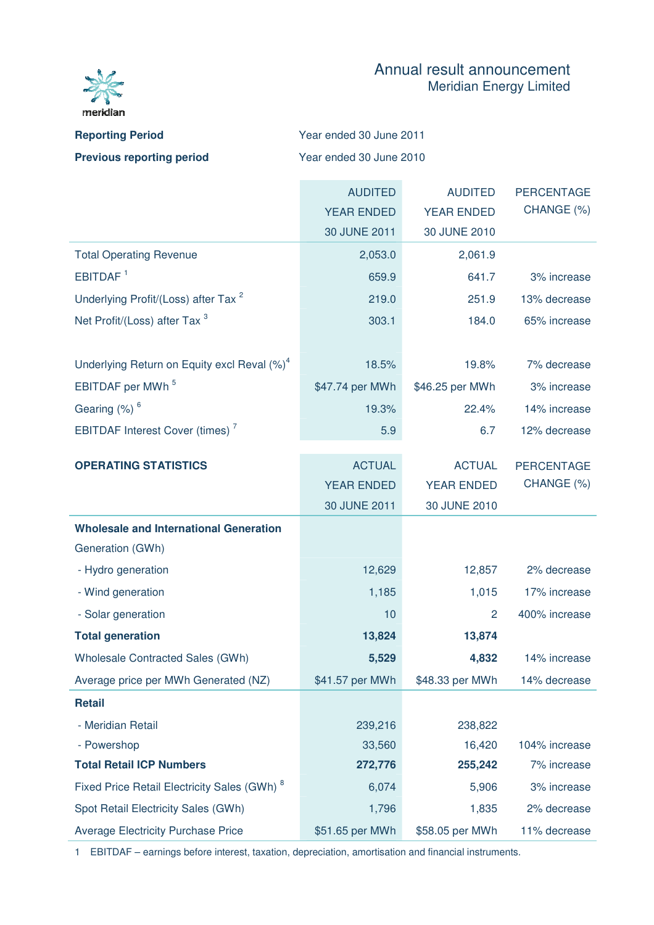

## Annual result announcement Meridian Energy Limited

| <b>Reporting Period</b>          | Year ended 30 June 2011 |
|----------------------------------|-------------------------|
| <b>Previous reporting period</b> | Year ended 30 June 2010 |

|                                                         | <b>AUDITED</b>    | <b>AUDITED</b>    | <b>PERCENTAGE</b> |
|---------------------------------------------------------|-------------------|-------------------|-------------------|
|                                                         | <b>YEAR ENDED</b> | <b>YEAR ENDED</b> | CHANGE (%)        |
|                                                         | 30 JUNE 2011      | 30 JUNE 2010      |                   |
| <b>Total Operating Revenue</b>                          | 2,053.0           | 2,061.9           |                   |
| EBITDAF <sup>1</sup>                                    | 659.9             | 641.7             | 3% increase       |
| Underlying Profit/(Loss) after Tax <sup>2</sup>         | 219.0             | 251.9             | 13% decrease      |
| Net Profit/(Loss) after Tax <sup>3</sup>                | 303.1             | 184.0             | 65% increase      |
|                                                         |                   |                   |                   |
| Underlying Return on Equity excl Reval (%) <sup>4</sup> | 18.5%             | 19.8%             | 7% decrease       |
| EBITDAF per MWh <sup>5</sup>                            | \$47.74 per MWh   | \$46.25 per MWh   | 3% increase       |
| Gearing (%) <sup>6</sup>                                | 19.3%             | 22.4%             | 14% increase      |
| <b>EBITDAF Interest Cover (times)</b> <sup>7</sup>      | 5.9               | 6.7               | 12% decrease      |
|                                                         |                   |                   |                   |
| <b>OPERATING STATISTICS</b>                             | <b>ACTUAL</b>     | <b>ACTUAL</b>     | <b>PERCENTAGE</b> |
|                                                         | <b>YEAR ENDED</b> | <b>YEAR ENDED</b> | CHANGE (%)        |
|                                                         | 30 JUNE 2011      | 30 JUNE 2010      |                   |
| <b>Wholesale and International Generation</b>           |                   |                   |                   |
| Generation (GWh)                                        |                   |                   |                   |
| - Hydro generation                                      | 12,629            | 12,857            | 2% decrease       |
| - Wind generation                                       | 1,185             | 1,015             | 17% increase      |
| - Solar generation                                      | 10                | 2                 | 400% increase     |
| <b>Total generation</b>                                 | 13,824            | 13,874            |                   |
| Wholesale Contracted Sales (GWh)                        | 5,529             | 4,832             | 14% increase      |
| Average price per MWh Generated (NZ)                    | \$41.57 per MWh   | \$48.33 per MWh   | 14% decrease      |
| <b>Retail</b>                                           |                   |                   |                   |
| - Meridian Retail                                       | 239,216           | 238,822           |                   |
| - Powershop                                             | 33,560            | 16,420            | 104% increase     |
| <b>Total Retail ICP Numbers</b>                         | 272,776           | 255,242           | 7% increase       |
| Fixed Price Retail Electricity Sales (GWh) <sup>8</sup> | 6,074             | 5,906             | 3% increase       |
| Spot Retail Electricity Sales (GWh)                     | 1,796             | 1,835             | 2% decrease       |
| <b>Average Electricity Purchase Price</b>               | \$51.65 per MWh   | \$58.05 per MWh   | 11% decrease      |

1 EBITDAF – earnings before interest, taxation, depreciation, amortisation and financial instruments.